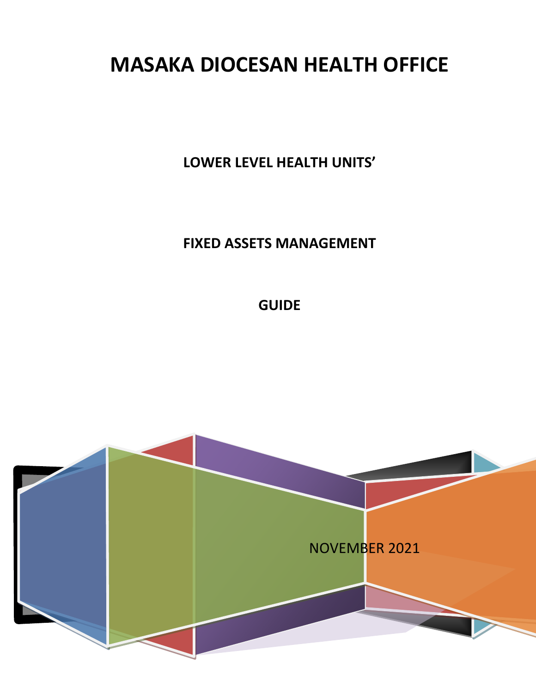# **MASAKA DIOCESAN HEALTH OFFICE**

**LOWER LEVEL HEALTH UNITS'**

**FIXED ASSETS MANAGEMENT**

**GUIDE**

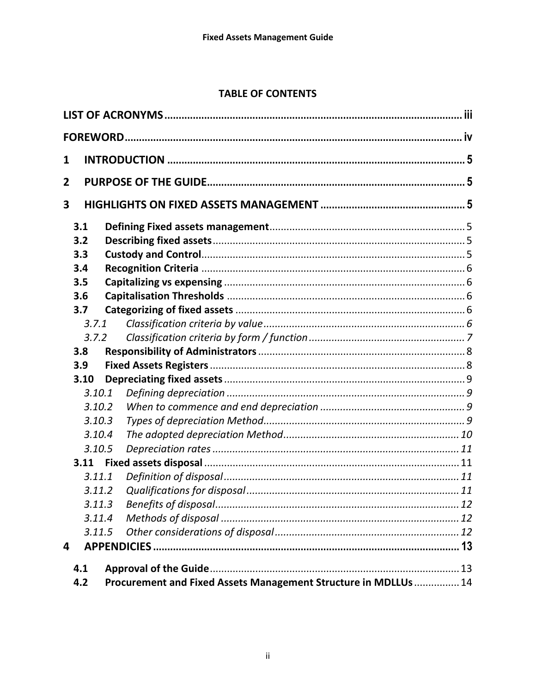# **TABLE OF CONTENTS**

| 1              |                                                                 |  |  |  |
|----------------|-----------------------------------------------------------------|--|--|--|
| $\overline{2}$ |                                                                 |  |  |  |
| 3              |                                                                 |  |  |  |
|                |                                                                 |  |  |  |
| 3.1            |                                                                 |  |  |  |
| 3.2<br>3.3     |                                                                 |  |  |  |
| 3.4            |                                                                 |  |  |  |
| 3.5            |                                                                 |  |  |  |
| 3.6            |                                                                 |  |  |  |
| 3.7            |                                                                 |  |  |  |
| 3.7.1          |                                                                 |  |  |  |
| 3.7.2          |                                                                 |  |  |  |
| 3.8            |                                                                 |  |  |  |
| 3.9            |                                                                 |  |  |  |
| 3.10           |                                                                 |  |  |  |
| 3.10.1         |                                                                 |  |  |  |
| 3.10.2         |                                                                 |  |  |  |
| 3.10.3         |                                                                 |  |  |  |
| 3.10.4         |                                                                 |  |  |  |
| 3.10.5         |                                                                 |  |  |  |
| 3.11           |                                                                 |  |  |  |
| 3.11.1         |                                                                 |  |  |  |
| 3.11.2         |                                                                 |  |  |  |
| 3.11.3         |                                                                 |  |  |  |
| 3.11.4         |                                                                 |  |  |  |
| 3.11.5         |                                                                 |  |  |  |
| 4              |                                                                 |  |  |  |
| 4.1            |                                                                 |  |  |  |
| 4.2            | Procurement and Fixed Assets Management Structure in MDLLUs  14 |  |  |  |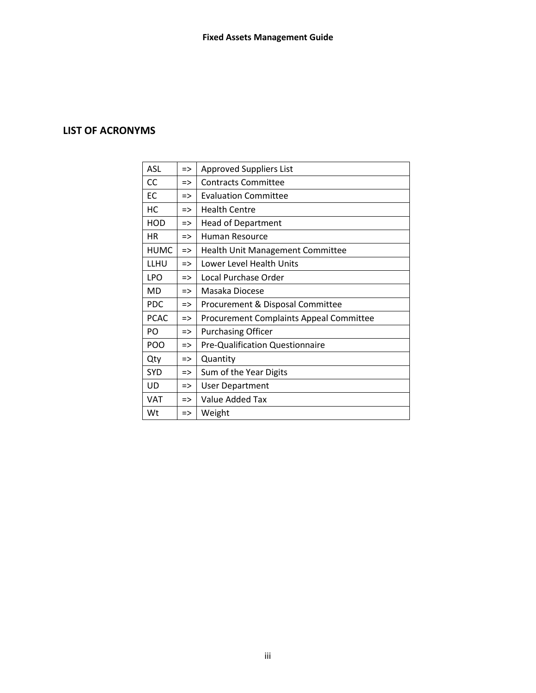# <span id="page-2-0"></span>**LIST OF ACRONYMS**

| ASL         | $\Rightarrow$ | <b>Approved Suppliers List</b>                 |  |
|-------------|---------------|------------------------------------------------|--|
| <b>CC</b>   | $\Rightarrow$ | <b>Contracts Committee</b>                     |  |
| EC          | $\Rightarrow$ | <b>Evaluation Committee</b>                    |  |
| НC          | $\Rightarrow$ | <b>Health Centre</b>                           |  |
| <b>HOD</b>  | $\Rightarrow$ | <b>Head of Department</b>                      |  |
| <b>HR</b>   | $\Rightarrow$ | Human Resource                                 |  |
| <b>HUMC</b> | $\Rightarrow$ | <b>Health Unit Management Committee</b>        |  |
| LLHU        | $\Rightarrow$ | Lower Level Health Units                       |  |
| <b>LPO</b>  | $\Rightarrow$ | Local Purchase Order                           |  |
| MD          | $\Rightarrow$ | Masaka Diocese                                 |  |
| <b>PDC</b>  | $\Rightarrow$ | Procurement & Disposal Committee               |  |
| <b>PCAC</b> | $\Rightarrow$ | <b>Procurement Complaints Appeal Committee</b> |  |
| PO.         | $\Rightarrow$ | <b>Purchasing Officer</b>                      |  |
| <b>POO</b>  | $\Rightarrow$ | Pre-Qualification Questionnaire                |  |
| Qty         | $\Rightarrow$ | Quantity                                       |  |
| SYD         | $\Rightarrow$ | Sum of the Year Digits                         |  |
| UD          | $\Rightarrow$ | <b>User Department</b>                         |  |
| <b>VAT</b>  | $\Rightarrow$ | Value Added Tax                                |  |
| Wt          | $\Rightarrow$ | Weight                                         |  |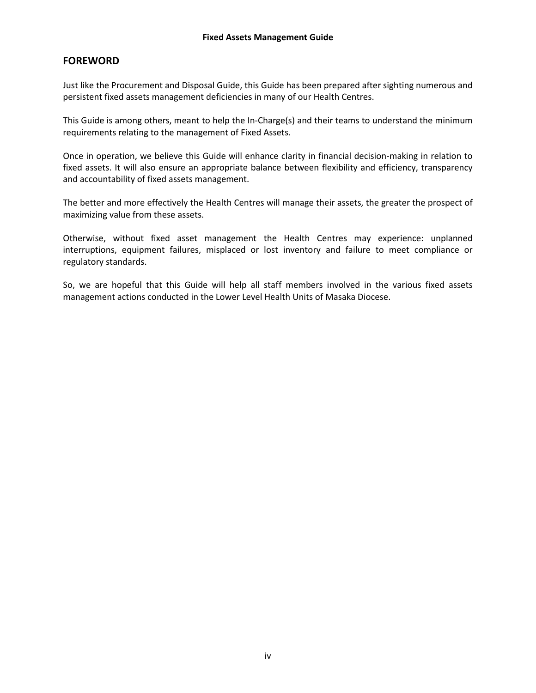# <span id="page-3-0"></span>**FOREWORD**

Just like the Procurement and Disposal Guide, this Guide has been prepared after sighting numerous and persistent fixed assets management deficiencies in many of our Health Centres.

This Guide is among others, meant to help the In-Charge(s) and their teams to understand the minimum requirements relating to the management of Fixed Assets.

Once in operation, we believe this Guide will enhance clarity in financial decision-making in relation to fixed assets. It will also ensure an appropriate balance between flexibility and efficiency, transparency and accountability of fixed assets management.

The better and more effectively the Health Centres will manage their assets, the greater the prospect of maximizing value from these assets.

Otherwise, without fixed asset management the Health Centres may experience: unplanned interruptions, equipment failures, misplaced or lost inventory and failure to meet compliance or regulatory standards.

So, we are hopeful that this Guide will help all staff members involved in the various fixed assets management actions conducted in the Lower Level Health Units of Masaka Diocese.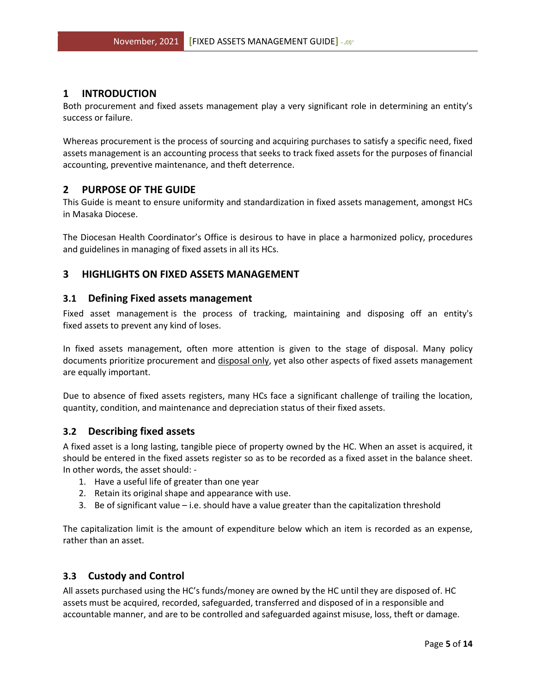# <span id="page-4-0"></span>**1 INTRODUCTION**

Both procurement and fixed assets management play a very significant role in determining an entity's success or failure.

Whereas procurement is the process of sourcing and acquiring purchases to satisfy a specific need, fixed assets management is an accounting process that seeks to track fixed assets for the purposes of financial accounting, preventive maintenance, and theft deterrence.

# <span id="page-4-1"></span>**2 PURPOSE OF THE GUIDE**

This Guide is meant to ensure uniformity and standardization in fixed assets management, amongst HCs in Masaka Diocese.

The Diocesan Health Coordinator's Office is desirous to have in place a harmonized policy, procedures and guidelines in managing of fixed assets in all its HCs.

# <span id="page-4-3"></span><span id="page-4-2"></span>**3 HIGHLIGHTS ON FIXED ASSETS MANAGEMENT**

#### **3.1 Defining Fixed assets management**

Fixed asset management is the process of tracking, maintaining and disposing off an entity's fixed assets to prevent any kind of loses.

In fixed assets management, often more attention is given to the stage of disposal. Many policy documents prioritize procurement and disposal only, yet also other aspects of fixed assets management are equally important.

Due to absence of fixed assets registers, many HCs face a significant challenge of trailing the location, quantity, condition, and maintenance and depreciation status of their fixed assets.

#### <span id="page-4-4"></span>**3.2 Describing fixed assets**

A fixed asset is a long lasting, tangible piece of property owned by the HC. When an asset is acquired, it should be entered in the fixed assets register so as to be recorded as a fixed asset in the balance sheet. In other words, the asset should: -

- 1. Have a useful life of greater than one year
- 2. Retain its original shape and appearance with use.
- 3. Be of significant value i.e. should have a value greater than the capitalization threshold

The capitalization limit is the amount of expenditure below which an item is recorded as an expense, rather than an asset.

#### <span id="page-4-5"></span>**3.3 Custody and Control**

All assets purchased using the HC's funds/money are owned by the HC until they are disposed of. HC assets must be acquired, recorded, safeguarded, transferred and disposed of in a responsible and accountable manner, and are to be controlled and safeguarded against misuse, loss, theft or damage.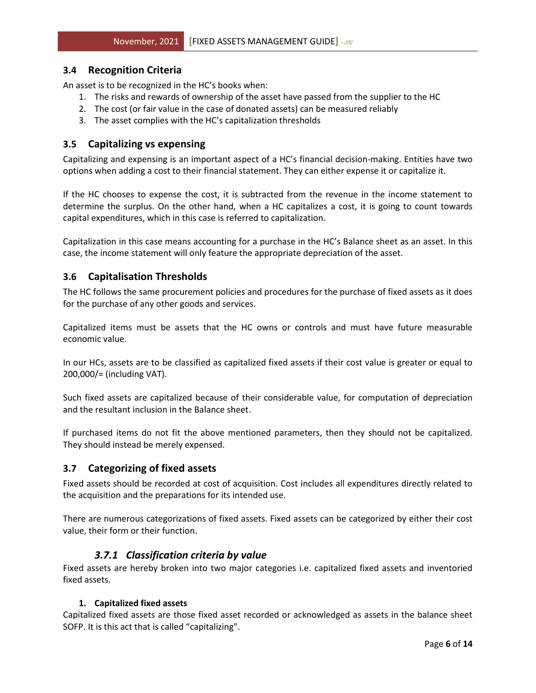# <span id="page-5-0"></span>**3.4 Recognition Criteria**

An asset is to be recognized in the HC's books when:

- 1. The risks and rewards of ownership of the asset have passed from the supplier to the HC
- 2. The cost (or fair value in the case of donated assets) can be measured reliably
- 3. The asset complies with the HC's capitalization thresholds

# <span id="page-5-1"></span>**3.5 Capitalizing vs expensing**

Capitalizing and expensing is an important aspect of a HC's financial decision-making. Entities have two options when adding a cost to their financial statement. They can either expense it or capitalize it.

If the HC chooses to expense the cost, it is subtracted from the revenue in the income statement to determine the surplus. On the other hand, when a HC capitalizes a cost, it is going to count towards capital expenditures, which in this case is referred to capitalization.

Capitalization in this case means accounting for a purchase in the HC's Balance sheet as an asset. In this case, the income statement will only feature the appropriate depreciation of the asset.

# <span id="page-5-2"></span>**3.6 Capitalisation Thresholds**

The HC follows the same procurement policies and procedures for the purchase of fixed assets as it does for the purchase of any other goods and services.

Capitalized items must be assets that the HC owns or controls and must have future measurable economic value.

In our HCs, assets are to be classified as capitalized fixed assets if their cost value is greater or equal to 200,000/= (including VAT).

Such fixed assets are capitalized because of their considerable value, for computation of depreciation and the resultant inclusion in the Balance sheet.

If purchased items do not fit the above mentioned parameters, then they should not be capitalized. They should instead be merely expensed.

# <span id="page-5-3"></span>**3.7 Categorizing of fixed assets**

Fixed assets should be recorded at cost of acquisition. Cost includes all expenditures directly related to the acquisition and the preparations for its intended use.

There are numerous categorizations of fixed assets. Fixed assets can be categorized by either their cost value, their form or their function.

# *3.7.1 Classification criteria by value*

<span id="page-5-4"></span>Fixed assets are hereby broken into two major categories i.e. capitalized fixed assets and inventoried fixed assets.

#### **1. Capitalized fixed assets**

Capitalized fixed assets are those fixed asset recorded or acknowledged as assets in the balance sheet SOFP. It is this act that is called "capitalizing".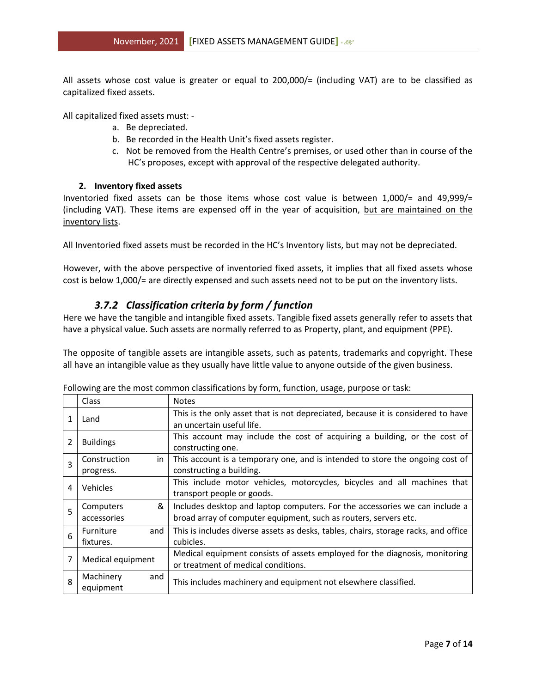All assets whose cost value is greater or equal to 200,000/= (including VAT) are to be classified as capitalized fixed assets.

All capitalized fixed assets must: -

- a. Be depreciated.
- b. Be recorded in the Health Unit's fixed assets register.
- c. Not be removed from the Health Centre's premises, or used other than in course of the HC's proposes, except with approval of the respective delegated authority.

#### **2. Inventory fixed assets**

Inventoried fixed assets can be those items whose cost value is between 1,000/= and 49,999/= (including VAT). These items are expensed off in the year of acquisition, but are maintained on the inventory lists.

All Inventoried fixed assets must be recorded in the HC's Inventory lists, but may not be depreciated.

However, with the above perspective of inventoried fixed assets, it implies that all fixed assets whose cost is below 1,000/= are directly expensed and such assets need not to be put on the inventory lists.

# *3.7.2 Classification criteria by form / function*

<span id="page-6-0"></span>Here we have the tangible and intangible fixed assets. Tangible fixed assets generally refer to assets that have a physical value. Such assets are normally referred to as Property, plant, and equipment (PPE).

The opposite of tangible assets are intangible assets, such as patents, trademarks and copyright. These all have an intangible value as they usually have little value to anyone outside of the given business.

|   | Class              | <b>Notes</b>                                                                        |
|---|--------------------|-------------------------------------------------------------------------------------|
| 1 | Land               | This is the only asset that is not depreciated, because it is considered to have    |
|   |                    | an uncertain useful life.                                                           |
| 2 | <b>Buildings</b>   | This account may include the cost of acquiring a building, or the cost of           |
|   |                    | constructing one.                                                                   |
| 3 | Construction<br>in | This account is a temporary one, and is intended to store the ongoing cost of       |
|   | progress.          | constructing a building.                                                            |
| 4 | Vehicles           | This include motor vehicles, motorcycles, bicycles and all machines that            |
|   |                    | transport people or goods.                                                          |
| 5 | &<br>Computers     | Includes desktop and laptop computers. For the accessories we can include a         |
|   | accessories        | broad array of computer equipment, such as routers, servers etc.                    |
| 6 | and<br>Furniture   | This is includes diverse assets as desks, tables, chairs, storage racks, and office |
|   | fixtures.          | cubicles.                                                                           |
|   |                    | Medical equipment consists of assets employed for the diagnosis, monitoring         |
| 7 | Medical equipment  | or treatment of medical conditions.                                                 |
| 8 | Machinery<br>and   |                                                                                     |
|   | equipment          | This includes machinery and equipment not elsewhere classified.                     |

Following are the most common classifications by form, function, usage, purpose or task: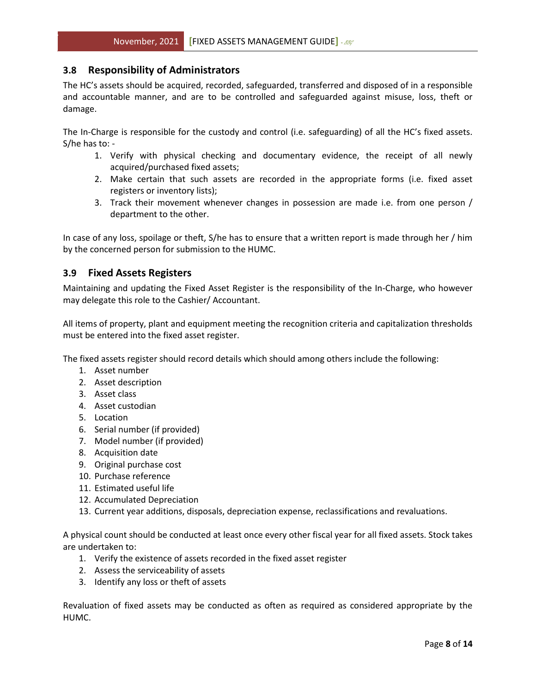#### <span id="page-7-0"></span>**3.8 Responsibility of Administrators**

The HC's assets should be acquired, recorded, safeguarded, transferred and disposed of in a responsible and accountable manner, and are to be controlled and safeguarded against misuse, loss, theft or damage.

The In-Charge is responsible for the custody and control (i.e. safeguarding) of all the HC's fixed assets. S/he has to: -

- 1. Verify with physical checking and documentary evidence, the receipt of all newly acquired/purchased fixed assets;
- 2. Make certain that such assets are recorded in the appropriate forms (i.e. fixed asset registers or inventory lists);
- 3. Track their movement whenever changes in possession are made i.e. from one person / department to the other.

In case of any loss, spoilage or theft, S/he has to ensure that a written report is made through her / him by the concerned person for submission to the HUMC.

#### <span id="page-7-1"></span>**3.9 Fixed Assets Registers**

Maintaining and updating the Fixed Asset Register is the responsibility of the In-Charge, who however may delegate this role to the Cashier/ Accountant.

All items of property, plant and equipment meeting the recognition criteria and capitalization thresholds must be entered into the fixed asset register.

The fixed assets register should record details which should among others include the following:

- 1. Asset number
- 2. Asset description
- 3. Asset class
- 4. Asset custodian
- 5. Location
- 6. Serial number (if provided)
- 7. Model number (if provided)
- 8. Acquisition date
- 9. Original purchase cost
- 10. Purchase reference
- 11. Estimated useful life
- 12. Accumulated Depreciation
- 13. Current year additions, disposals, depreciation expense, reclassifications and revaluations.

A physical count should be conducted at least once every other fiscal year for all fixed assets. Stock takes are undertaken to:

- 1. Verify the existence of assets recorded in the fixed asset register
- 2. Assess the serviceability of assets
- 3. Identify any loss or theft of assets

Revaluation of fixed assets may be conducted as often as required as considered appropriate by the HUMC.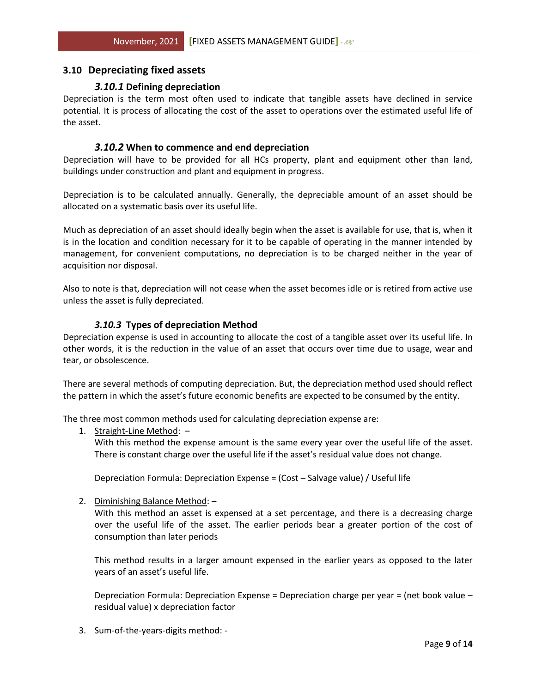#### <span id="page-8-1"></span><span id="page-8-0"></span>**3.10 Depreciating fixed assets**

#### *3.10.1* **Defining depreciation**

Depreciation is the term most often used to indicate that tangible assets have declined in service potential. It is process of allocating the cost of the asset to operations over the estimated useful life of the asset.

#### *3.10.2* **When to commence and end depreciation**

<span id="page-8-2"></span>Depreciation will have to be provided for all HCs property, plant and equipment other than land, buildings under construction and plant and equipment in progress.

Depreciation is to be calculated annually. Generally, the depreciable amount of an asset should be allocated on a systematic basis over its useful life.

Much as depreciation of an asset should ideally begin when the asset is available for use, that is, when it is in the location and condition necessary for it to be capable of operating in the manner intended by management, for convenient computations, no depreciation is to be charged neither in the year of acquisition nor disposal.

Also to note is that, depreciation will not cease when the asset becomes idle or is retired from active use unless the asset is fully depreciated.

#### *3.10.3* **Types of depreciation Method**

<span id="page-8-3"></span>Depreciation expense is used in accounting to allocate the cost of a tangible asset over its useful life. In other words, it is the reduction in the value of an asset that occurs over time due to usage, wear and tear, or obsolescence.

There are several methods of computing depreciation. But, the depreciation method used should reflect the pattern in which the asset's future economic benefits are expected to be consumed by the entity.

The three most common methods used for calculating depreciation expense are:

1. Straight-Line Method: –

With this method the expense amount is the same every year over the useful life of the asset. There is constant charge over the useful life if the asset's residual value does not change.

Depreciation Formula: Depreciation Expense = (Cost – Salvage value) / Useful life

2. Diminishing Balance Method: –

With this method an asset is expensed at a set percentage, and there is a decreasing charge over the useful life of the asset. The earlier periods bear a greater portion of the cost of consumption than later periods

This method results in a larger amount expensed in the earlier years as opposed to the later years of an asset's useful life.

Depreciation Formula: Depreciation Expense = Depreciation charge per year = (net book value – residual value) x depreciation factor

3. Sum-of-the-years-digits method: -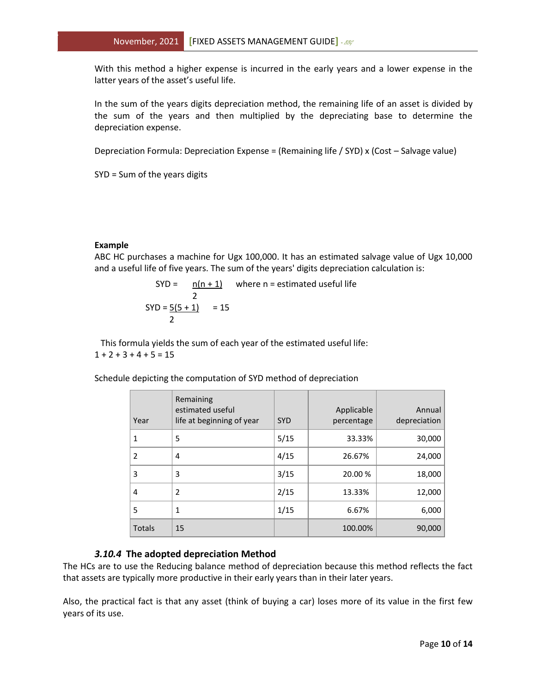With this method a higher expense is incurred in the early years and a lower expense in the latter years of the asset's useful life.

In the sum of the years digits depreciation method, the remaining life of an asset is divided by the sum of the years and then multiplied by the depreciating base to determine the depreciation expense.

Depreciation Formula: Depreciation Expense = (Remaining life / SYD) x (Cost – Salvage value)

SYD = Sum of the years digits

#### **Example**

ABC HC purchases a machine for Ugx 100,000. It has an estimated salvage value of Ugx 10,000 and a useful life of five years. The sum of the years' digits depreciation calculation is:

$$
SYD = \frac{n(n+1)}{2} \quad \text{where } n = \text{estimated useful life}
$$
\n
$$
SYD = \frac{5(5+1)}{2} = 15
$$

This formula yields the sum of each year of the estimated useful life:  $1 + 2 + 3 + 4 + 5 = 15$ 

Schedule depicting the computation of SYD method of depreciation

| Year   | Remaining<br>estimated useful<br>life at beginning of year | <b>SYD</b> | Applicable<br>percentage | Annual<br>depreciation |
|--------|------------------------------------------------------------|------------|--------------------------|------------------------|
| 1      | 5                                                          | 5/15       | 33.33%                   | 30,000                 |
| 2      | 4                                                          | 4/15       | 26.67%                   | 24,000                 |
| 3      | 3                                                          | 3/15       | 20.00 %                  | 18,000                 |
| 4      | $\overline{2}$                                             | 2/15       | 13.33%                   | 12,000                 |
| 5      | 1                                                          | 1/15       | 6.67%                    | 6,000                  |
| Totals | 15                                                         |            | 100.00%                  | 90,000                 |

#### *3.10.4* **The adopted depreciation Method**

<span id="page-9-0"></span>The HCs are to use the Reducing balance method of depreciation because this method reflects the fact that assets are typically more productive in their early years than in their later years.

Also, the practical fact is that any asset (think of buying a car) loses more of its value in the first few years of its use.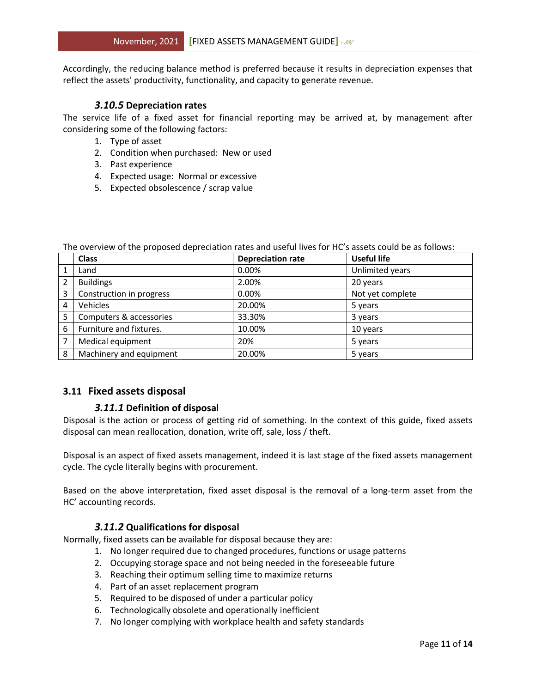Accordingly, the reducing balance method is preferred because it results in depreciation expenses that reflect the assets' productivity, functionality, and capacity to generate revenue.

# *3.10.5* **Depreciation rates**

<span id="page-10-0"></span>The service life of a fixed asset for financial reporting may be arrived at, by management after considering some of the following factors:

- 1. Type of asset
- 2. Condition when purchased: New or used
- 3. Past experience
- 4. Expected usage: Normal or excessive
- 5. Expected obsolescence / scrap value

|   | <b>Class</b>             | <b>Depreciation rate</b> | <b>Useful life</b> |
|---|--------------------------|--------------------------|--------------------|
|   | Land                     | 0.00%                    | Unlimited years    |
| 2 | <b>Buildings</b>         | 2.00%                    | 20 years           |
| 3 | Construction in progress | 0.00%                    | Not yet complete   |
| 4 | Vehicles                 | 20.00%                   | 5 years            |
| 5 | Computers & accessories  | 33.30%                   | 3 years            |
| 6 | Furniture and fixtures.  | 10.00%                   | 10 years           |
|   | Medical equipment        | 20%                      | 5 years            |
| 8 | Machinery and equipment  | 20.00%                   | 5 years            |

The overview of the proposed depreciation rates and useful lives for HC's assets could be as follows:

# <span id="page-10-2"></span><span id="page-10-1"></span>**3.11 Fixed assets disposal**

# *3.11.1* **Definition of disposal**

Disposal is the action or process of getting rid of something. In the context of this guide, fixed assets disposal can mean reallocation, donation, write off, sale, loss / theft.

Disposal is an aspect of fixed assets management, indeed it is last stage of the fixed assets management cycle. The cycle literally begins with procurement.

Based on the above interpretation, fixed asset disposal is the removal of a long-term asset from the HC' accounting records.

# *3.11.2* **Qualifications for disposal**

<span id="page-10-3"></span>Normally, fixed assets can be available for disposal because they are:

- 1. No longer required due to changed procedures, functions or usage patterns
- 2. Occupying storage space and not being needed in the foreseeable future
- 3. Reaching their optimum selling time to maximize returns
- 4. Part of an asset replacement program
- 5. Required to be disposed of under a particular policy
- 6. Technologically obsolete and operationally inefficient
- 7. No longer complying with workplace health and safety standards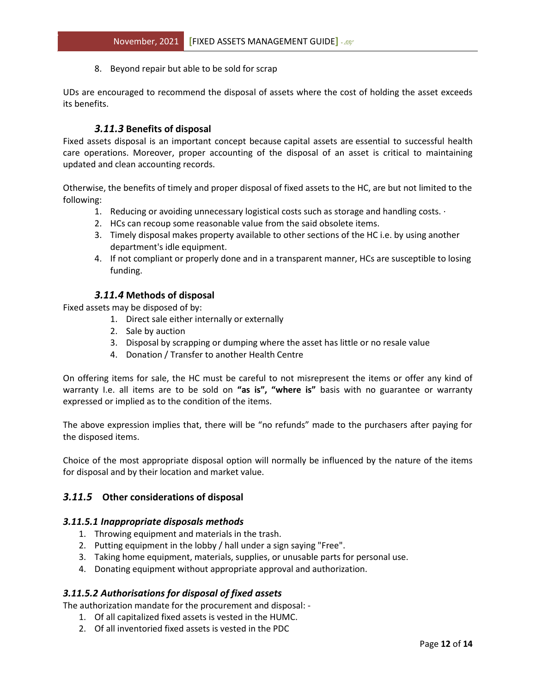8. Beyond repair but able to be sold for scrap

UDs are encouraged to recommend the disposal of assets where the cost of holding the asset exceeds its benefits.

#### *3.11.3* **Benefits of disposal**

<span id="page-11-0"></span>Fixed assets disposal is an important concept because capital assets are essential to successful health care operations. Moreover, proper accounting of the disposal of an asset is critical to maintaining updated and clean accounting records.

Otherwise, the benefits of timely and proper disposal of fixed assets to the HC, are but not limited to the following:

- 1. Reducing or avoiding unnecessary logistical costs such as storage and handling costs. ·
- 2. HCs can recoup some reasonable value from the said obsolete items.
- 3. Timely disposal makes property available to other sections of the HC i.e. by using another department's idle equipment.
- 4. If not compliant or properly done and in a transparent manner, HCs are susceptible to losing funding.

#### *3.11.4* **Methods of disposal**

<span id="page-11-1"></span>Fixed assets may be disposed of by:

- 1. Direct sale either internally or externally
- 2. Sale by auction
- 3. Disposal by scrapping or dumping where the asset has little or no resale value
- 4. Donation / Transfer to another Health Centre

On offering items for sale, the HC must be careful to not misrepresent the items or offer any kind of warranty I.e. all items are to be sold on **"as is", "where is"** basis with no guarantee or warranty expressed or implied as to the condition of the items.

The above expression implies that, there will be "no refunds" made to the purchasers after paying for the disposed items.

Choice of the most appropriate disposal option will normally be influenced by the nature of the items for disposal and by their location and market value.

#### <span id="page-11-2"></span>*3.11.5* **Other considerations of disposal**

#### *3.11.5.1 Inappropriate disposals methods*

- 1. Throwing equipment and materials in the trash.
- 2. Putting equipment in the lobby / hall under a sign saying "Free".
- 3. Taking home equipment, materials, supplies, or unusable parts for personal use.
- 4. Donating equipment without appropriate approval and authorization.

#### *3.11.5.2 Authorisations for disposal of fixed assets*

The authorization mandate for the procurement and disposal: -

- 1. Of all capitalized fixed assets is vested in the HUMC.
- 2. Of all inventoried fixed assets is vested in the PDC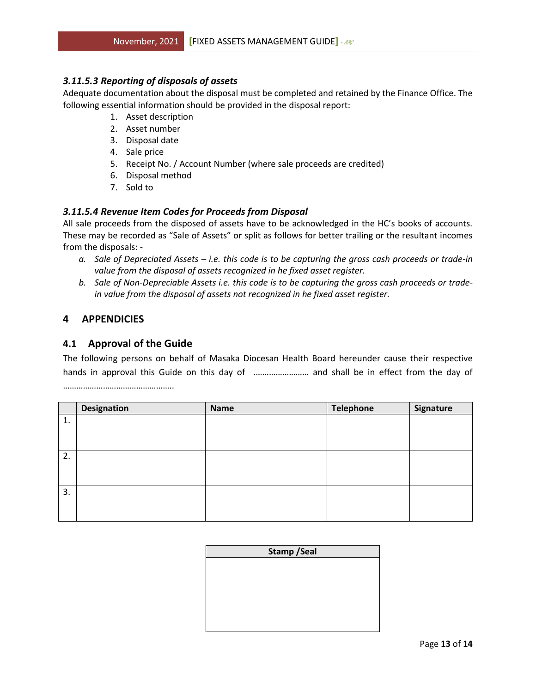# *3.11.5.3 Reporting of disposals of assets*

Adequate documentation about the disposal must be completed and retained by the Finance Office. The following essential information should be provided in the disposal report:

- 1. Asset description
- 2. Asset number
- 3. Disposal date
- 4. Sale price
- 5. Receipt No. / Account Number (where sale proceeds are credited)
- 6. Disposal method
- 7. Sold to

# *3.11.5.4 Revenue Item Codes for Proceeds from Disposal*

All sale proceeds from the disposed of assets have to be acknowledged in the HC's books of accounts. These may be recorded as "Sale of Assets" or split as follows for better trailing or the resultant incomes from the disposals: -

- *a. Sale of Depreciated Assets – i.e. this code is to be capturing the gross cash proceeds or trade-in value from the disposal of assets recognized in he fixed asset register.*
- *b. Sale of Non-Depreciable Assets i.e. this code is to be capturing the gross cash proceeds or tradein value from the disposal of assets not recognized in he fixed asset register.*

# <span id="page-12-0"></span>**4 APPENDICIES**

# <span id="page-12-1"></span>**4.1 Approval of the Guide**

The following persons on behalf of Masaka Diocesan Health Board hereunder cause their respective hands in approval this Guide on this day of ........................... and shall be in effect from the day of …………………………………………..

|    | <b>Designation</b> | <b>Name</b> | <b>Telephone</b> | Signature |
|----|--------------------|-------------|------------------|-----------|
| 1. |                    |             |                  |           |
|    |                    |             |                  |           |
|    |                    |             |                  |           |
| 2. |                    |             |                  |           |
|    |                    |             |                  |           |
|    |                    |             |                  |           |
| 3. |                    |             |                  |           |
|    |                    |             |                  |           |
|    |                    |             |                  |           |

| <b>Stamp / Seal</b> |  |  |
|---------------------|--|--|
|                     |  |  |
|                     |  |  |
|                     |  |  |
|                     |  |  |
|                     |  |  |
|                     |  |  |
|                     |  |  |
|                     |  |  |
|                     |  |  |
|                     |  |  |